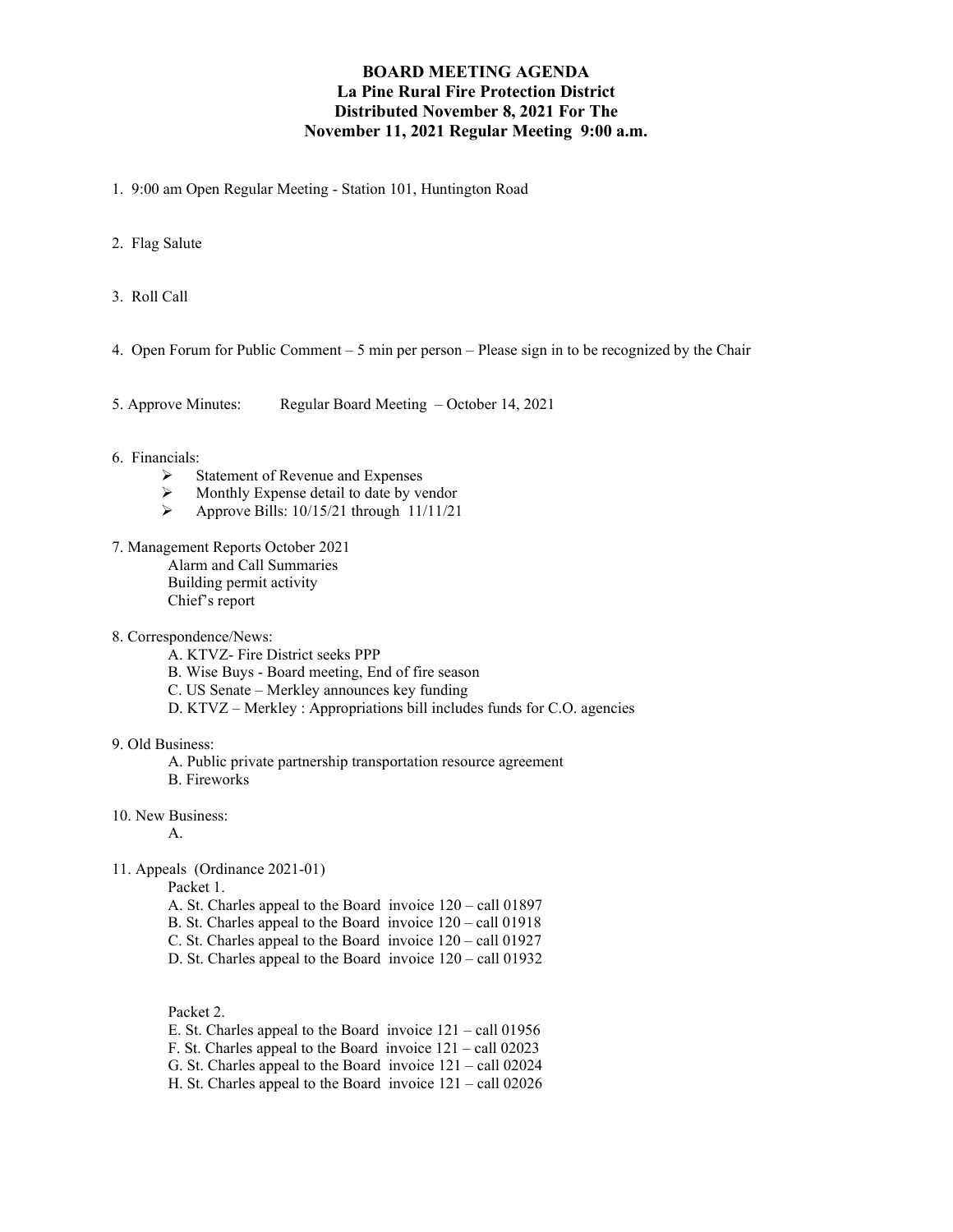## **BOARD MEETING AGENDA La Pine Rural Fire Protection District Distributed November 8, 2021 For The November 11, 2021 Regular Meeting 9:00 a.m.**

- 1. 9:00 am Open Regular Meeting Station 101, Huntington Road
- 2. Flag Salute
- 3. Roll Call
- 4. Open Forum for Public Comment 5 min per person Please sign in to be recognized by the Chair
- 5. Approve Minutes: Regular Board Meeting October 14, 2021

## 6. Financials:

- $\triangleright$  Statement of Revenue and Expenses
- $\triangleright$  Monthly Expense detail to date by vendor<br> $\triangleright$  Approve Bills: 10/15/21 through 11/11/21
- Approve Bills: 10/15/21 through 11/11/21
- 7. Management Reports October 2021

Alarm and Call Summaries Building permit activity Chief's report

- 8. Correspondence/News:
	- A. KTVZ- Fire District seeks PPP
	- B. Wise Buys Board meeting, End of fire season
	- C. US Senate Merkley announces key funding
	- D. KTVZ Merkley : Appropriations bill includes funds for C.O. agencies

## 9. Old Business:

- A. Public private partnership transportation resource agreement
- B. Fireworks
- 10. New Business:

A.

11. Appeals (Ordinance 2021-01)

Packet 1.

- A. St. Charles appeal to the Board invoice 120 call 01897
- B. St. Charles appeal to the Board invoice 120 call 01918
- C. St. Charles appeal to the Board invoice 120 call 01927
- D. St. Charles appeal to the Board invoice 120 call 01932

Packet 2.

- E. St. Charles appeal to the Board invoice 121 call 01956
- F. St. Charles appeal to the Board invoice 121 call 02023
- G. St. Charles appeal to the Board invoice 121 call 02024
- H. St. Charles appeal to the Board invoice 121 call 02026